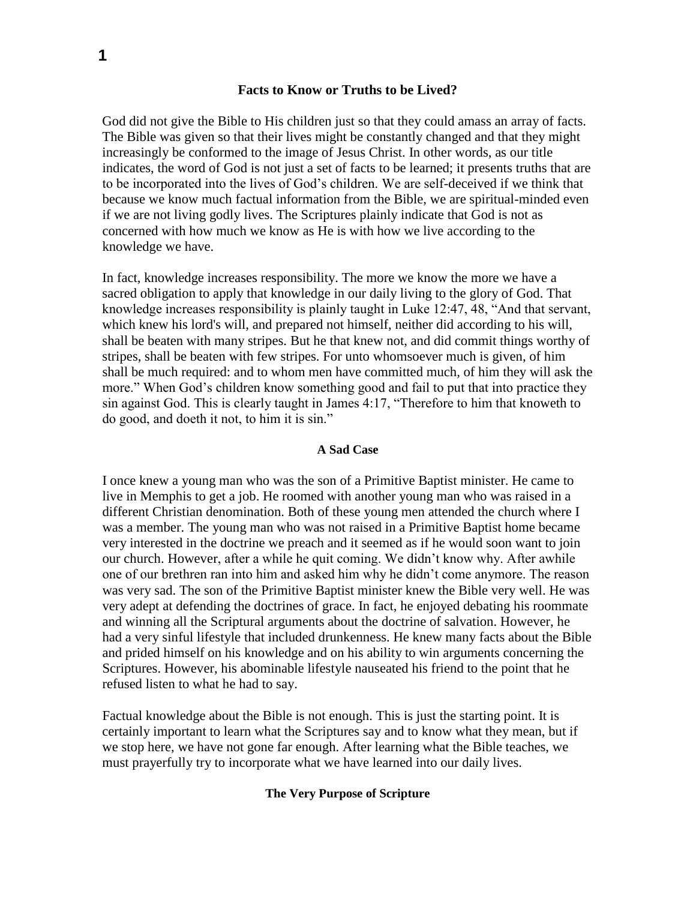## **Facts to Know or Truths to be Lived?**

God did not give the Bible to His children just so that they could amass an array of facts. The Bible was given so that their lives might be constantly changed and that they might increasingly be conformed to the image of Jesus Christ. In other words, as our title indicates, the word of God is not just a set of facts to be learned; it presents truths that are to be incorporated into the lives of God's children. We are self-deceived if we think that because we know much factual information from the Bible, we are spiritual-minded even if we are not living godly lives. The Scriptures plainly indicate that God is not as concerned with how much we know as He is with how we live according to the knowledge we have.

In fact, knowledge increases responsibility. The more we know the more we have a sacred obligation to apply that knowledge in our daily living to the glory of God. That knowledge increases responsibility is plainly taught in Luke 12:47, 48, "And that servant, which knew his lord's will, and prepared not himself, neither did according to his will, shall be beaten with many stripes. But he that knew not, and did commit things worthy of stripes, shall be beaten with few stripes. For unto whomsoever much is given, of him shall be much required: and to whom men have committed much, of him they will ask the more." When God's children know something good and fail to put that into practice they sin against God. This is clearly taught in James 4:17, "Therefore to him that knoweth to do good, and doeth it not, to him it is sin."

### **A Sad Case**

I once knew a young man who was the son of a Primitive Baptist minister. He came to live in Memphis to get a job. He roomed with another young man who was raised in a different Christian denomination. Both of these young men attended the church where I was a member. The young man who was not raised in a Primitive Baptist home became very interested in the doctrine we preach and it seemed as if he would soon want to join our church. However, after a while he quit coming. We didn't know why. After awhile one of our brethren ran into him and asked him why he didn't come anymore. The reason was very sad. The son of the Primitive Baptist minister knew the Bible very well. He was very adept at defending the doctrines of grace. In fact, he enjoyed debating his roommate and winning all the Scriptural arguments about the doctrine of salvation. However, he had a very sinful lifestyle that included drunkenness. He knew many facts about the Bible and prided himself on his knowledge and on his ability to win arguments concerning the Scriptures. However, his abominable lifestyle nauseated his friend to the point that he refused listen to what he had to say.

Factual knowledge about the Bible is not enough. This is just the starting point. It is certainly important to learn what the Scriptures say and to know what they mean, but if we stop here, we have not gone far enough. After learning what the Bible teaches, we must prayerfully try to incorporate what we have learned into our daily lives.

## **The Very Purpose of Scripture**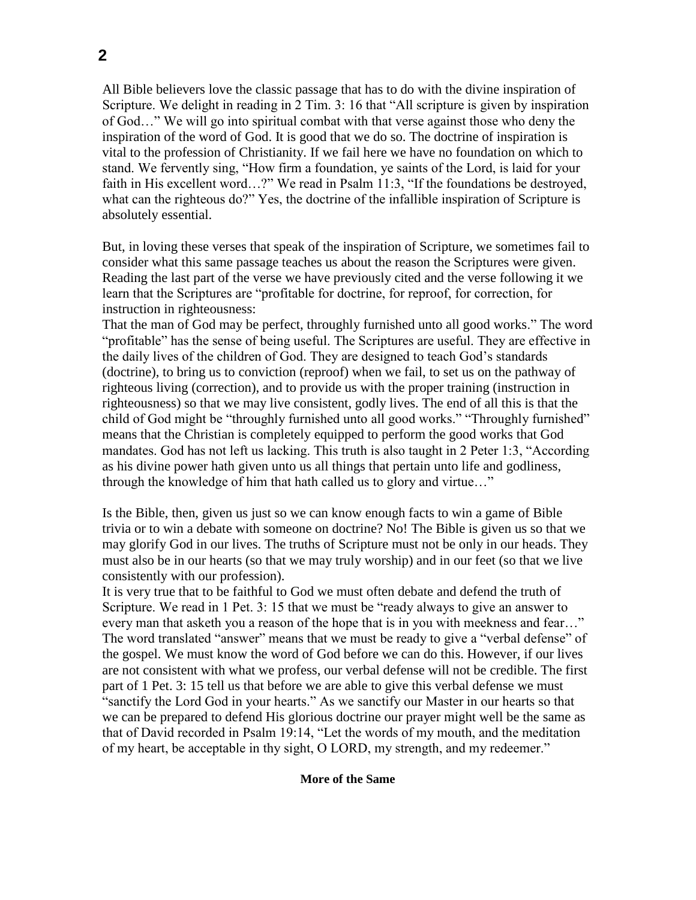All Bible believers love the classic passage that has to do with the divine inspiration of Scripture. We delight in reading in 2 Tim. 3: 16 that "All scripture is given by inspiration of God…" We will go into spiritual combat with that verse against those who deny the inspiration of the word of God. It is good that we do so. The doctrine of inspiration is vital to the profession of Christianity. If we fail here we have no foundation on which to stand. We fervently sing, "How firm a foundation, ye saints of the Lord, is laid for your faith in His excellent word…?" We read in Psalm 11:3, "If the foundations be destroyed, what can the righteous do?" Yes, the doctrine of the infallible inspiration of Scripture is absolutely essential.

But, in loving these verses that speak of the inspiration of Scripture, we sometimes fail to consider what this same passage teaches us about the reason the Scriptures were given. Reading the last part of the verse we have previously cited and the verse following it we learn that the Scriptures are "profitable for doctrine, for reproof, for correction, for instruction in righteousness:

That the man of God may be perfect, throughly furnished unto all good works." The word "profitable" has the sense of being useful. The Scriptures are useful. They are effective in the daily lives of the children of God. They are designed to teach God's standards (doctrine), to bring us to conviction (reproof) when we fail, to set us on the pathway of righteous living (correction), and to provide us with the proper training (instruction in righteousness) so that we may live consistent, godly lives. The end of all this is that the child of God might be "throughly furnished unto all good works." "Throughly furnished" means that the Christian is completely equipped to perform the good works that God mandates. God has not left us lacking. This truth is also taught in 2 Peter 1:3, "According as his divine power hath given unto us all things that pertain unto life and godliness, through the knowledge of him that hath called us to glory and virtue…"

Is the Bible, then, given us just so we can know enough facts to win a game of Bible trivia or to win a debate with someone on doctrine? No! The Bible is given us so that we may glorify God in our lives. The truths of Scripture must not be only in our heads. They must also be in our hearts (so that we may truly worship) and in our feet (so that we live consistently with our profession).

It is very true that to be faithful to God we must often debate and defend the truth of Scripture. We read in 1 Pet. 3: 15 that we must be "ready always to give an answer to every man that asketh you a reason of the hope that is in you with meekness and fear…" The word translated "answer" means that we must be ready to give a "verbal defense" of the gospel. We must know the word of God before we can do this. However, if our lives are not consistent with what we profess, our verbal defense will not be credible. The first part of 1 Pet. 3: 15 tell us that before we are able to give this verbal defense we must "sanctify the Lord God in your hearts." As we sanctify our Master in our hearts so that we can be prepared to defend His glorious doctrine our prayer might well be the same as that of David recorded in Psalm 19:14, "Let the words of my mouth, and the meditation of my heart, be acceptable in thy sight, O LORD, my strength, and my redeemer."

## **More of the Same**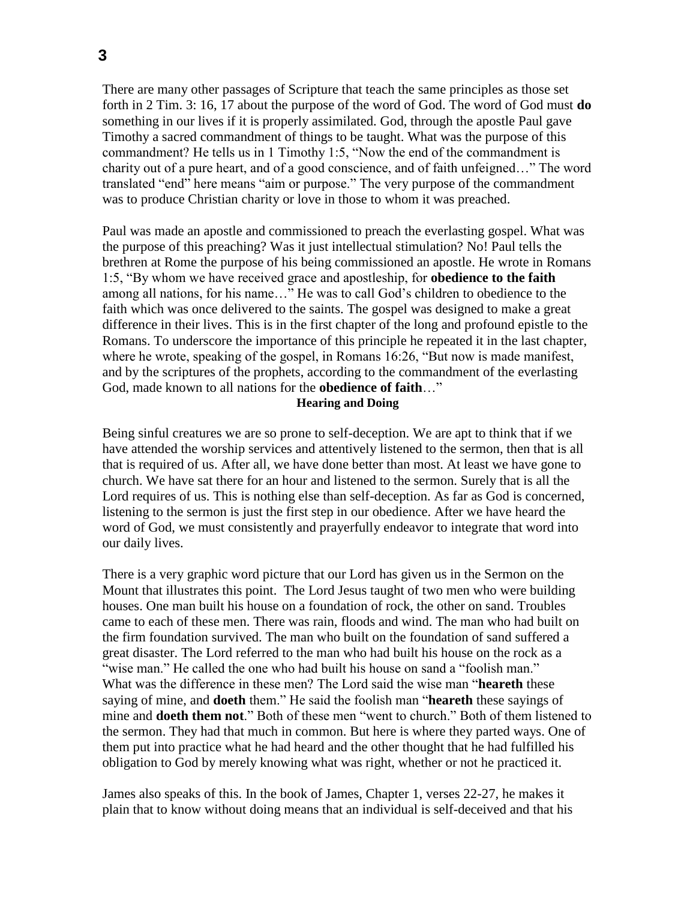There are many other passages of Scripture that teach the same principles as those set forth in 2 Tim. 3: 16, 17 about the purpose of the word of God. The word of God must **do** something in our lives if it is properly assimilated. God, through the apostle Paul gave Timothy a sacred commandment of things to be taught. What was the purpose of this commandment? He tells us in 1 Timothy 1:5, "Now the end of the commandment is charity out of a pure heart, and of a good conscience, and of faith unfeigned…" The word translated "end" here means "aim or purpose." The very purpose of the commandment was to produce Christian charity or love in those to whom it was preached.

Paul was made an apostle and commissioned to preach the everlasting gospel. What was the purpose of this preaching? Was it just intellectual stimulation? No! Paul tells the brethren at Rome the purpose of his being commissioned an apostle. He wrote in Romans 1:5, "By whom we have received grace and apostleship, for **obedience to the faith** among all nations, for his name…" He was to call God's children to obedience to the faith which was once delivered to the saints. The gospel was designed to make a great difference in their lives. This is in the first chapter of the long and profound epistle to the Romans. To underscore the importance of this principle he repeated it in the last chapter, where he wrote, speaking of the gospel, in Romans 16:26, "But now is made manifest, and by the scriptures of the prophets, according to the commandment of the everlasting God, made known to all nations for the **obedience of faith**…"

## **Hearing and Doing**

Being sinful creatures we are so prone to self-deception. We are apt to think that if we have attended the worship services and attentively listened to the sermon, then that is all that is required of us. After all, we have done better than most. At least we have gone to church. We have sat there for an hour and listened to the sermon. Surely that is all the Lord requires of us. This is nothing else than self-deception. As far as God is concerned, listening to the sermon is just the first step in our obedience. After we have heard the word of God, we must consistently and prayerfully endeavor to integrate that word into our daily lives.

There is a very graphic word picture that our Lord has given us in the Sermon on the Mount that illustrates this point. The Lord Jesus taught of two men who were building houses. One man built his house on a foundation of rock, the other on sand. Troubles came to each of these men. There was rain, floods and wind. The man who had built on the firm foundation survived. The man who built on the foundation of sand suffered a great disaster. The Lord referred to the man who had built his house on the rock as a "wise man." He called the one who had built his house on sand a "foolish man." What was the difference in these men? The Lord said the wise man "**heareth** these saying of mine, and **doeth** them." He said the foolish man "**heareth** these sayings of mine and **doeth them not**." Both of these men "went to church." Both of them listened to the sermon. They had that much in common. But here is where they parted ways. One of them put into practice what he had heard and the other thought that he had fulfilled his obligation to God by merely knowing what was right, whether or not he practiced it.

James also speaks of this. In the book of James, Chapter 1, verses 22-27, he makes it plain that to know without doing means that an individual is self-deceived and that his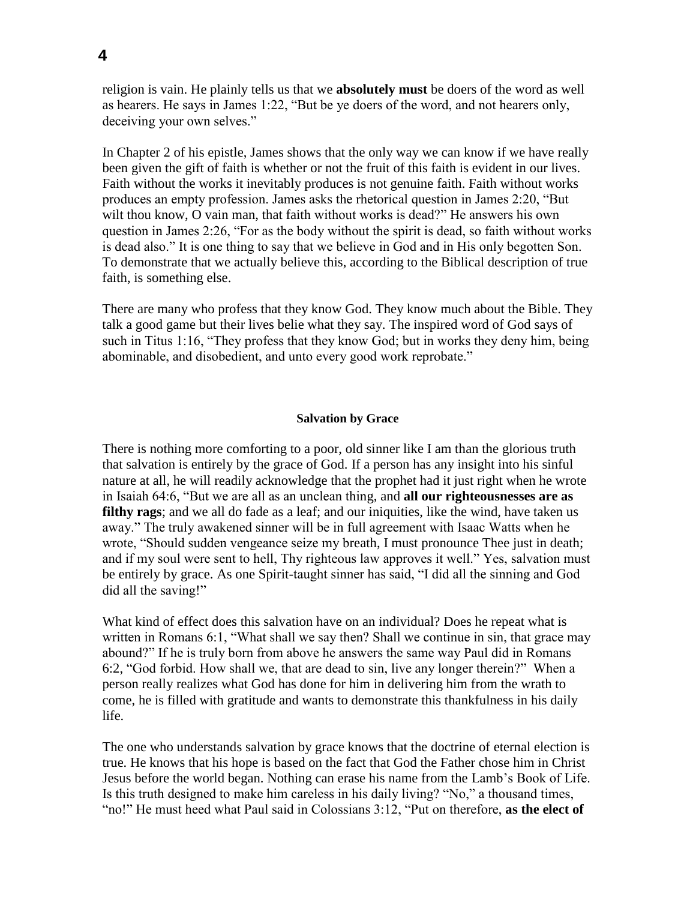religion is vain. He plainly tells us that we **absolutely must** be doers of the word as well as hearers. He says in James 1:22, "But be ye doers of the word, and not hearers only, deceiving your own selves."

In Chapter 2 of his epistle, James shows that the only way we can know if we have really been given the gift of faith is whether or not the fruit of this faith is evident in our lives. Faith without the works it inevitably produces is not genuine faith. Faith without works produces an empty profession. James asks the rhetorical question in James 2:20, "But wilt thou know, O vain man, that faith without works is dead?" He answers his own question in James 2:26, "For as the body without the spirit is dead, so faith without works is dead also." It is one thing to say that we believe in God and in His only begotten Son. To demonstrate that we actually believe this, according to the Biblical description of true faith, is something else.

There are many who profess that they know God. They know much about the Bible. They talk a good game but their lives belie what they say. The inspired word of God says of such in Titus 1:16, "They profess that they know God; but in works they deny him, being abominable, and disobedient, and unto every good work reprobate."

### **Salvation by Grace**

There is nothing more comforting to a poor, old sinner like I am than the glorious truth that salvation is entirely by the grace of God. If a person has any insight into his sinful nature at all, he will readily acknowledge that the prophet had it just right when he wrote in Isaiah 64:6, "But we are all as an unclean thing, and **all our righteousnesses are as filthy rags**; and we all do fade as a leaf; and our iniquities, like the wind, have taken us away." The truly awakened sinner will be in full agreement with Isaac Watts when he wrote, "Should sudden vengeance seize my breath, I must pronounce Thee just in death; and if my soul were sent to hell, Thy righteous law approves it well." Yes, salvation must be entirely by grace. As one Spirit-taught sinner has said, "I did all the sinning and God did all the saving!"

What kind of effect does this salvation have on an individual? Does he repeat what is written in Romans 6:1, "What shall we say then? Shall we continue in sin, that grace may abound?" If he is truly born from above he answers the same way Paul did in Romans 6:2, "God forbid. How shall we, that are dead to sin, live any longer therein?" When a person really realizes what God has done for him in delivering him from the wrath to come, he is filled with gratitude and wants to demonstrate this thankfulness in his daily life.

The one who understands salvation by grace knows that the doctrine of eternal election is true. He knows that his hope is based on the fact that God the Father chose him in Christ Jesus before the world began. Nothing can erase his name from the Lamb's Book of Life. Is this truth designed to make him careless in his daily living? "No," a thousand times, "no!" He must heed what Paul said in Colossians 3:12, "Put on therefore, **as the elect of**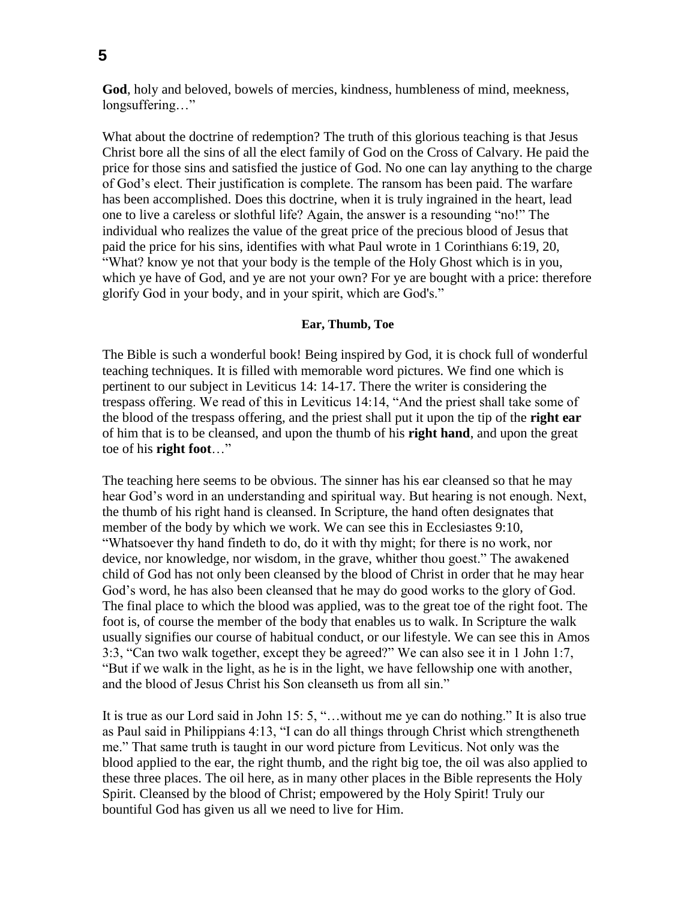**God**, holy and beloved, bowels of mercies, kindness, humbleness of mind, meekness, longsuffering…"

What about the doctrine of redemption? The truth of this glorious teaching is that Jesus Christ bore all the sins of all the elect family of God on the Cross of Calvary. He paid the price for those sins and satisfied the justice of God. No one can lay anything to the charge of God's elect. Their justification is complete. The ransom has been paid. The warfare has been accomplished. Does this doctrine, when it is truly ingrained in the heart, lead one to live a careless or slothful life? Again, the answer is a resounding "no!" The individual who realizes the value of the great price of the precious blood of Jesus that paid the price for his sins, identifies with what Paul wrote in 1 Corinthians 6:19, 20, "What? know ye not that your body is the temple of the Holy Ghost which is in you, which ye have of God, and ye are not your own? For ye are bought with a price: therefore glorify God in your body, and in your spirit, which are God's."

## **Ear, Thumb, Toe**

The Bible is such a wonderful book! Being inspired by God, it is chock full of wonderful teaching techniques. It is filled with memorable word pictures. We find one which is pertinent to our subject in Leviticus 14: 14-17. There the writer is considering the trespass offering. We read of this in Leviticus 14:14, "And the priest shall take some of the blood of the trespass offering, and the priest shall put it upon the tip of the **right ear** of him that is to be cleansed, and upon the thumb of his **right hand**, and upon the great toe of his **right foot**…"

The teaching here seems to be obvious. The sinner has his ear cleansed so that he may hear God's word in an understanding and spiritual way. But hearing is not enough. Next, the thumb of his right hand is cleansed. In Scripture, the hand often designates that member of the body by which we work. We can see this in Ecclesiastes 9:10, "Whatsoever thy hand findeth to do, do it with thy might; for there is no work, nor device, nor knowledge, nor wisdom, in the grave, whither thou goest." The awakened child of God has not only been cleansed by the blood of Christ in order that he may hear God's word, he has also been cleansed that he may do good works to the glory of God. The final place to which the blood was applied, was to the great toe of the right foot. The foot is, of course the member of the body that enables us to walk. In Scripture the walk usually signifies our course of habitual conduct, or our lifestyle. We can see this in Amos 3:3, "Can two walk together, except they be agreed?" We can also see it in 1 John 1:7, "But if we walk in the light, as he is in the light, we have fellowship one with another, and the blood of Jesus Christ his Son cleanseth us from all sin."

It is true as our Lord said in John 15: 5, "…without me ye can do nothing." It is also true as Paul said in Philippians 4:13, "I can do all things through Christ which strengtheneth me." That same truth is taught in our word picture from Leviticus. Not only was the blood applied to the ear, the right thumb, and the right big toe, the oil was also applied to these three places. The oil here, as in many other places in the Bible represents the Holy Spirit. Cleansed by the blood of Christ; empowered by the Holy Spirit! Truly our bountiful God has given us all we need to live for Him.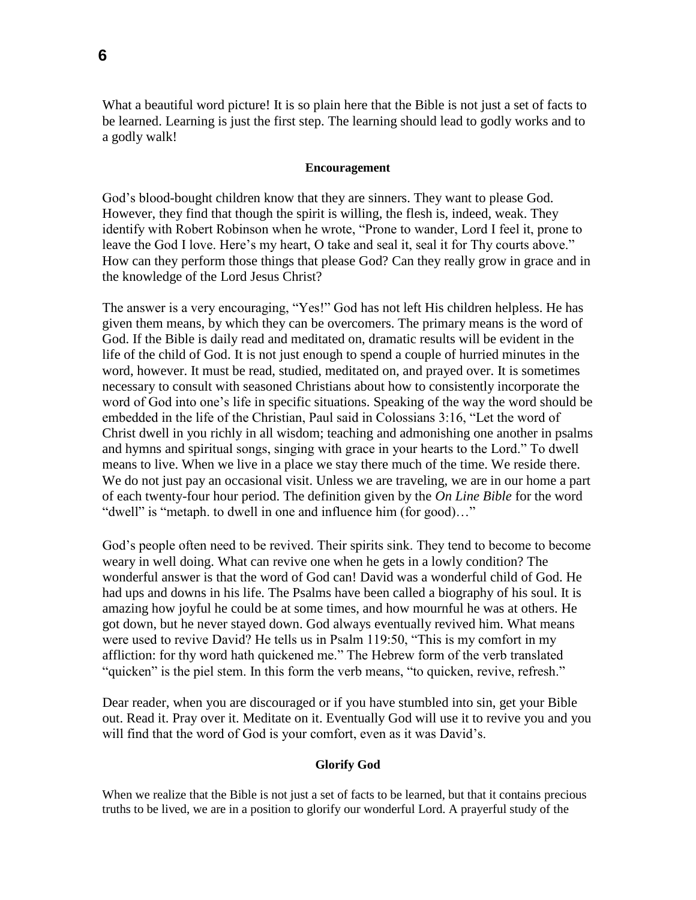What a beautiful word picture! It is so plain here that the Bible is not just a set of facts to be learned. Learning is just the first step. The learning should lead to godly works and to a godly walk!

#### **Encouragement**

God's blood-bought children know that they are sinners. They want to please God. However, they find that though the spirit is willing, the flesh is, indeed, weak. They identify with Robert Robinson when he wrote, "Prone to wander, Lord I feel it, prone to leave the God I love. Here's my heart, O take and seal it, seal it for Thy courts above." How can they perform those things that please God? Can they really grow in grace and in the knowledge of the Lord Jesus Christ?

The answer is a very encouraging, "Yes!" God has not left His children helpless. He has given them means, by which they can be overcomers. The primary means is the word of God. If the Bible is daily read and meditated on, dramatic results will be evident in the life of the child of God. It is not just enough to spend a couple of hurried minutes in the word, however. It must be read, studied, meditated on, and prayed over. It is sometimes necessary to consult with seasoned Christians about how to consistently incorporate the word of God into one's life in specific situations. Speaking of the way the word should be embedded in the life of the Christian, Paul said in Colossians 3:16, "Let the word of Christ dwell in you richly in all wisdom; teaching and admonishing one another in psalms and hymns and spiritual songs, singing with grace in your hearts to the Lord." To dwell means to live. When we live in a place we stay there much of the time. We reside there. We do not just pay an occasional visit. Unless we are traveling, we are in our home a part of each twenty-four hour period. The definition given by the *On Line Bible* for the word "dwell" is "metaph. to dwell in one and influence him (for good)…"

God's people often need to be revived. Their spirits sink. They tend to become to become weary in well doing. What can revive one when he gets in a lowly condition? The wonderful answer is that the word of God can! David was a wonderful child of God. He had ups and downs in his life. The Psalms have been called a biography of his soul. It is amazing how joyful he could be at some times, and how mournful he was at others. He got down, but he never stayed down. God always eventually revived him. What means were used to revive David? He tells us in Psalm 119:50, "This is my comfort in my affliction: for thy word hath quickened me." The Hebrew form of the verb translated "quicken" is the piel stem. In this form the verb means, "to quicken, revive, refresh."

Dear reader, when you are discouraged or if you have stumbled into sin, get your Bible out. Read it. Pray over it. Meditate on it. Eventually God will use it to revive you and you will find that the word of God is your comfort, even as it was David's.

#### **Glorify God**

When we realize that the Bible is not just a set of facts to be learned, but that it contains precious truths to be lived, we are in a position to glorify our wonderful Lord. A prayerful study of the